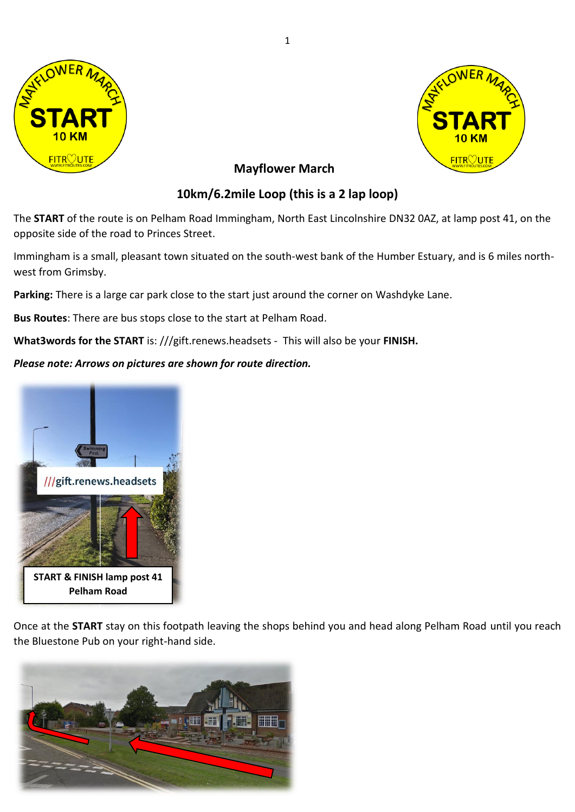



 **Mayflower March** 

## **10km/6.2mile Loop (this is a 2 lap loop)**

The **START** of the route is on Pelham Road Immingham, North East Lincolnshire DN32 0AZ, at lamp post 41, on the opposite side of the road to Princes Street.

Immingham is a small, pleasant town situated on the south-west bank of the Humber Estuary, and is 6 miles northwest from Grimsby.

**Parking:** There is a large car park close to the start just around the corner on Washdyke Lane.

**Bus Routes**: There are bus stops close to the start at Pelham Road.

**What3words for the START** is: ///gift.renews.headsets - This will also be your **FINISH.**

## *Please note: Arrows on pictures are shown for route direction.*



Once at the **START** stay on this footpath leaving the shops behind you and head along Pelham Road until you reach the Bluestone Pub on your right-hand side.

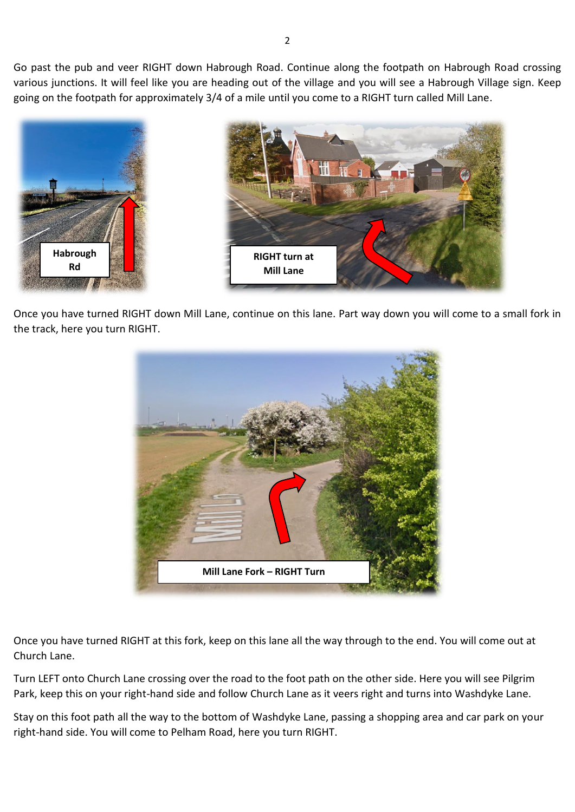Go past the pub and veer RIGHT down Habrough Road. Continue along the footpath on Habrough Road crossing various junctions. It will feel like you are heading out of the village and you will see a Habrough Village sign. Keep going on the footpath for approximately 3/4 of a mile until you come to a RIGHT turn called Mill Lane.



Once you have turned RIGHT down Mill Lane, continue on this lane. Part way down you will come to a small fork in the track, here you turn RIGHT.



Once you have turned RIGHT at this fork, keep on this lane all the way through to the end. You will come out at Church Lane.

Turn LEFT onto Church Lane crossing over the road to the foot path on the other side. Here you will see Pilgrim Park, keep this on your right-hand side and follow Church Lane as it veers right and turns into Washdyke Lane.

Stay on this foot path all the way to the bottom of Washdyke Lane, passing a shopping area and car park on your right-hand side. You will come to Pelham Road, here you turn RIGHT.